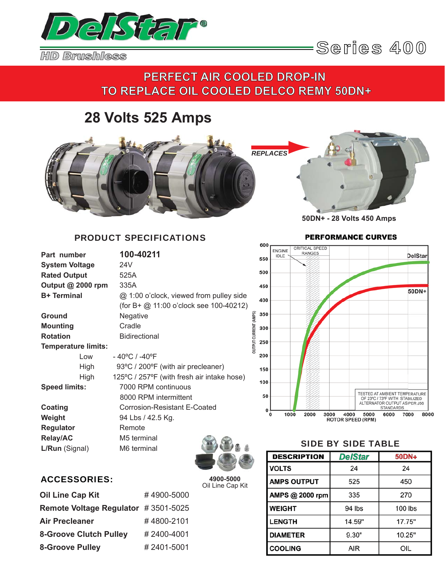

## **PERFECT AIR COOLED DROP-IN**  TO REPLACE OIL COOLED DELCO REMY 50DN+

# **28 Volts 525 Amps**



### PRODUCT SPECIFICATIONS

| Part number                |      | 100-40211                                  |                             |
|----------------------------|------|--------------------------------------------|-----------------------------|
| <b>System Voltage</b>      |      | 24V                                        |                             |
| <b>Rated Output</b>        |      | 525A                                       |                             |
| Output @ 2000 rpm          |      | 335A                                       |                             |
| <b>B+ Terminal</b>         |      | @ 1:00 o'clock, viewed from pulley side    |                             |
|                            |      | (for B+ $@$ 11:00 o'clock see 100-40212)   |                             |
| Ground                     |      | Negative                                   |                             |
| <b>Mounting</b>            |      | Cradle                                     |                             |
| <b>Rotation</b>            |      | <b>Bidirectional</b>                       |                             |
| <b>Temperature limits:</b> |      |                                            | <b>DUTPUT CURRENT (AMPS</b> |
|                            | Low  | - 40°C / -40°F                             |                             |
|                            | High | 93°C / 200°F (with air precleaner)         |                             |
|                            | High | 125°C / 257°F (with fresh air intake hose) |                             |
| <b>Speed limits:</b>       |      | 7000 RPM continuous                        |                             |
|                            |      | 8000 RPM intermittent                      |                             |
| Coating                    |      | Corrosion-Resistant E-Coated               |                             |
| Weight                     |      | 94 Lbs / 42.5 Kg.                          |                             |
| <b>Regulator</b>           |      | Remote                                     |                             |
| <b>Relay/AC</b>            |      | M5 terminal                                |                             |
| L/Run (Signal)             |      | M6 terminal                                |                             |
|                            |      |                                            |                             |



### ACCESSORIES:

**4900-5000** Oil Line Cap Kit

| <b>Oil Line Cap Kit</b>             | #4900-5000 |
|-------------------------------------|------------|
| Remote Voltage Regulator #3501-5025 |            |
| <b>Air Precleaner</b>               | #4800-2101 |
| <b>8-Groove Clutch Pulley</b>       | #2400-4001 |
| <b>8-Groove Pulley</b>              | #2401-5001 |

# **PERFORMANCE CURVES**



#### SIDE BY SIDE TABLE

| <b>DESCRIPTION</b> | <b>DelStar</b> | 50DN+   |
|--------------------|----------------|---------|
| <b>VOLTS</b>       | 24             | 24      |
| <b>AMPS OUTPUT</b> | 525            | 450     |
| AMPS @ 2000 rpm    | 335            | 270     |
| <b>WEIGHT</b>      | 94 lbs         | 100 lbs |
| <b>LENGTH</b>      | 14.59"         | 17.75"  |
| <b>DIAMETER</b>    | 9.30"          | 10.25"  |
| <b>COOLING</b>     | AIR            | OIL     |